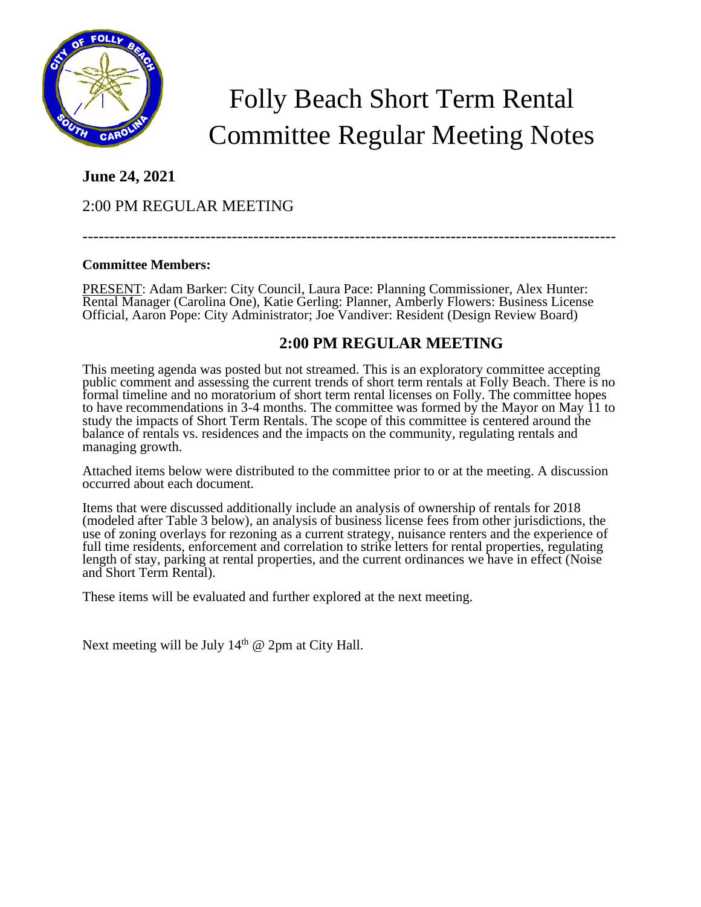

# Folly Beach Short Term Rental Committee Regular Meeting Notes

## **June 24, 2021**

# 2:00 PM REGULAR MEETING

----------------------------------------------------------------------------------------------------

## **Committee Members:**

PRESENT: Adam Barker: City Council, Laura Pace: Planning Commissioner, Alex Hunter: Rental Manager (Carolina One), Katie Gerling: Planner, Amberly Flowers: Business License Official, Aaron Pope: City Administrator; Joe Vandiver: Resident (Design Review Board)

## **2:00 PM REGULAR MEETING**

This meeting agenda was posted but not streamed. This is an exploratory committee accepting public comment and assessing the current trends of short term rentals at Folly Beach. There is no formal timeline and no moratorium of short term rental licenses on Folly. The committee hopes to have recommendations in 3-4 months. The committee was formed by the Mayor on May 11 to study the impacts of Short Term Rentals. The scope of this committee is centered around the balance of rentals vs. residences and the impacts on the community, regulating rentals and managing growth.

Attached items below were distributed to the committee prior to or at the meeting. A discussion occurred about each document.

Items that were discussed additionally include an analysis of ownership of rentals for 2018 (modeled after Table 3 below), an analysis of business license fees from other jurisdictions, the use of zoning overlays for rezoning as a current strategy, nuisance renters and the experience of full time residents, enforcement and correlation to strike letters for rental properties, regulating length of stay, parking at rental properties, and the current ordinances we have in effect (Noise and Short Term Rental).

These items will be evaluated and further explored at the next meeting.

Next meeting will be July  $14<sup>th</sup>$  @ 2pm at City Hall.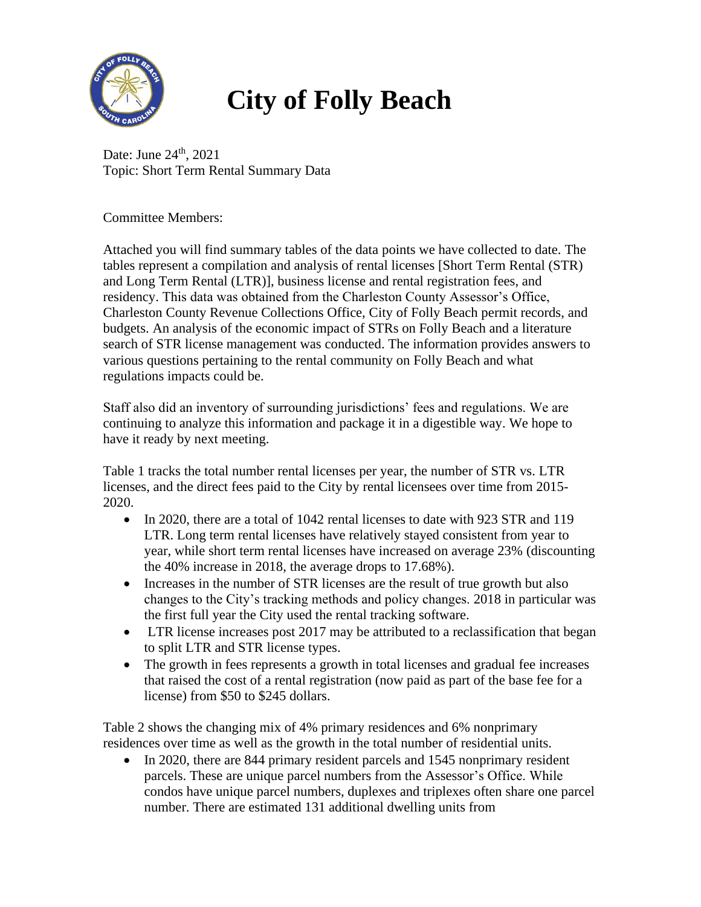

# **City of Folly Beach**

Date: June  $24<sup>th</sup>$ , 2021 Topic: Short Term Rental Summary Data

Committee Members:

Attached you will find summary tables of the data points we have collected to date. The tables represent a compilation and analysis of rental licenses [Short Term Rental (STR) and Long Term Rental (LTR)], business license and rental registration fees, and residency. This data was obtained from the Charleston County Assessor's Office, Charleston County Revenue Collections Office, City of Folly Beach permit records, and budgets. An analysis of the economic impact of STRs on Folly Beach and a literature search of STR license management was conducted. The information provides answers to various questions pertaining to the rental community on Folly Beach and what regulations impacts could be.

Staff also did an inventory of surrounding jurisdictions' fees and regulations. We are continuing to analyze this information and package it in a digestible way. We hope to have it ready by next meeting.

Table 1 tracks the total number rental licenses per year, the number of STR vs. LTR licenses, and the direct fees paid to the City by rental licensees over time from 2015- 2020.

- In 2020, there are a total of 1042 rental licenses to date with 923 STR and 119 LTR. Long term rental licenses have relatively stayed consistent from year to year, while short term rental licenses have increased on average 23% (discounting the 40% increase in 2018, the average drops to 17.68%).
- Increases in the number of STR licenses are the result of true growth but also changes to the City's tracking methods and policy changes. 2018 in particular was the first full year the City used the rental tracking software.
- LTR license increases post 2017 may be attributed to a reclassification that began to split LTR and STR license types.
- The growth in fees represents a growth in total licenses and gradual fee increases that raised the cost of a rental registration (now paid as part of the base fee for a license) from \$50 to \$245 dollars.

Table 2 shows the changing mix of 4% primary residences and 6% nonprimary residences over time as well as the growth in the total number of residential units.

• In 2020, there are 844 primary resident parcels and 1545 nonprimary resident parcels. These are unique parcel numbers from the Assessor's Office. While condos have unique parcel numbers, duplexes and triplexes often share one parcel number. There are estimated 131 additional dwelling units from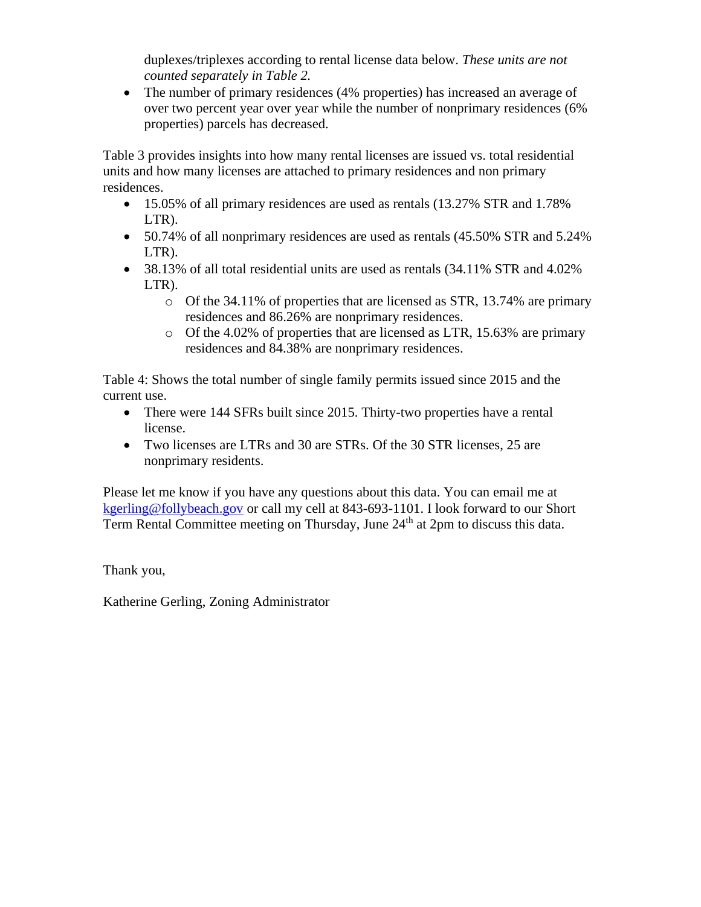duplexes/triplexes according to rental license data below. *These units are not counted separately in Table 2.*

• The number of primary residences (4% properties) has increased an average of over two percent year over year while the number of nonprimary residences (6% properties) parcels has decreased.

Table 3 provides insights into how many rental licenses are issued vs. total residential units and how many licenses are attached to primary residences and non primary residences.

- 15.05% of all primary residences are used as rentals (13.27% STR and 1.78% LTR).
- 50.74% of all nonprimary residences are used as rentals (45.50% STR and 5.24% LTR).
- 38.13% of all total residential units are used as rentals  $(34.11\%$  STR and  $4.02\%$ LTR).
	- o Of the 34.11% of properties that are licensed as STR, 13.74% are primary residences and 86.26% are nonprimary residences.
	- o Of the 4.02% of properties that are licensed as LTR, 15.63% are primary residences and 84.38% are nonprimary residences.

Table 4: Shows the total number of single family permits issued since 2015 and the current use.

- There were 144 SFRs built since 2015. Thirty-two properties have a rental license.
- Two licenses are LTRs and 30 are STRs. Of the 30 STR licenses, 25 are nonprimary residents.

Please let me know if you have any questions about this data. You can email me at [kgerling@follybeach.gov](mailto:kgerling@follybeach.gov) or call my cell at 843-693-1101. I look forward to our Short Term Rental Committee meeting on Thursday, June 24<sup>th</sup> at 2pm to discuss this data.

Thank you,

Katherine Gerling, Zoning Administrator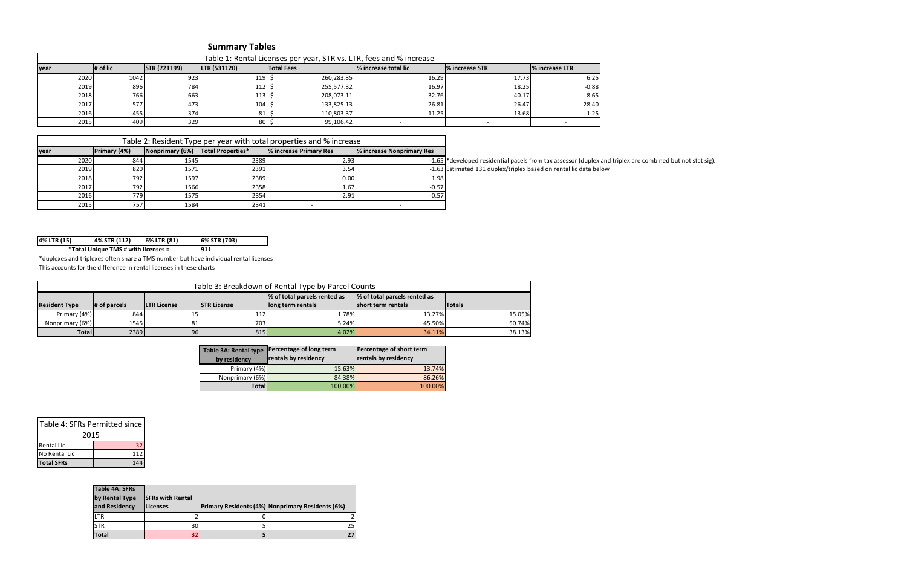| 4% LTR (15)<br>6% LTR (81)<br>4% STR (112)<br>6% STR (703) |  |
|------------------------------------------------------------|--|
|------------------------------------------------------------|--|

| Table 1: Rental Licenses per year, STR vs. LTR, fees and % increase |          |                     |              |                   |                      |                        |                        |  |
|---------------------------------------------------------------------|----------|---------------------|--------------|-------------------|----------------------|------------------------|------------------------|--|
| lyear                                                               | # of lic | <b>STR (721199)</b> | LTR (531120) | <b>Total Fees</b> | % increase total lic | <b>1% increase STR</b> | <b>1% increase LTR</b> |  |
| 2020                                                                | 1042     | 923                 | $119$ :      | 260,283.35        | 16.29                | 17.73                  | 6.25                   |  |
| 2019                                                                | 896      | 784                 | 112          | 255,577.32        | 16.97                | 18.25                  | $-0.88$                |  |
| 2018                                                                | 766 l    | 663                 | $113$ :      | 208,073.11        | 32.76                | 40.17                  | 8.65                   |  |
| 2017                                                                | 577      | 473                 | 104          | 133,825.13        | 26.81                | 26.47                  | 28.40                  |  |
| 2016                                                                | 455      | 374                 | 81           | 110,803.37        | 11.25                | 13.68                  | 1.25                   |  |
| 2015                                                                | 409      | 329                 | 80           | 99,106.42         |                      |                        |                        |  |

\*duplexes and triplexes often share a TMS number but have individual rental licenses This accounts for the difference in rental licenses in these charts

|       | Table 2: Resident Type per year with total properties and % increase |                                     |      |                        |                           |                                                                   |
|-------|----------------------------------------------------------------------|-------------------------------------|------|------------------------|---------------------------|-------------------------------------------------------------------|
| lyear | <b>Primary (4%)</b>                                                  | Nonprimary (6%)   Total Properties* |      | % increase Primary Res | % increase Nonprimary Res |                                                                   |
| 2020  | 844                                                                  | 1545                                | 2389 | 2.93                   |                           | -1.65 *developed residential pacels from tax assessor (duplex and |
| 2019  | 820                                                                  | 1571                                | 2391 | 3.54                   |                           | -1.63 Estimated 131 duplex/triplex based on rental lic data below |
| 2018  | 792                                                                  | 1597                                | 2389 | 0.00                   | 1.98                      |                                                                   |
| 2017  | 792                                                                  | 1566                                | 2358 | 1.67                   | $-0.57$                   |                                                                   |
| 2016  | 779I                                                                 | 1575                                | 2354 | 2.91                   | $-0.57$                   |                                                                   |
| 2015  | 757                                                                  | 1584                                | 2341 |                        |                           |                                                                   |

**911 \*Total Unique TMS # with licenses =**

| <b>Table 3A: Rental type</b> | Percentage of long term | Percentage of short term    |  |
|------------------------------|-------------------------|-----------------------------|--|
| by residency                 | rentals by residency    | <b>rentals by residency</b> |  |
| Primary (4%)                 | 15.63%                  | 13.74%                      |  |
| Nonprimary (6%)              | 84.38%                  | 86.26%                      |  |
| Totall                       | 100.00%                 | 100.00%                     |  |

| Table 3: Breakdown of Rental Type by Parcel Counts |                                                              |                     |                     |                    |                     |               |  |
|----------------------------------------------------|--------------------------------------------------------------|---------------------|---------------------|--------------------|---------------------|---------------|--|
|                                                    | % of total parcels rented as<br>% of total parcels rented as |                     |                     |                    |                     |               |  |
| <b>Resident Type</b>                               | # of parcels                                                 | <b>ILTR License</b> | <b>ISTR License</b> | llong term rentals | Ishort term rentals | <b>Totals</b> |  |
| Primary (4%)                                       | 844                                                          | 151                 | 112                 | 1.78%              | 13.27%              | 15.05%        |  |
| Nonprimary (6%)                                    | 1545                                                         | 81                  | 703                 | 5.24%              | 45.50%              | 50.74%        |  |
| Totall                                             | 2389                                                         | 96                  | 815                 | 4.02%              | 34.11%              | 38.13%        |  |

| Table 4: SFRs Permitted since |  |  |  |  |  |
|-------------------------------|--|--|--|--|--|
| 2015                          |  |  |  |  |  |
| <b>Rental Lic</b><br>32       |  |  |  |  |  |
| No Rental Lic<br>112          |  |  |  |  |  |
| <b>Total SFRs</b>             |  |  |  |  |  |

| <b>Table 4A: SFRs</b> |                         |                                                         |
|-----------------------|-------------------------|---------------------------------------------------------|
| by Rental Type        | <b>SFRs with Rental</b> |                                                         |
| and Residency         | <b>Licenses</b>         | <b>Primary Residents (4%) Nonprimary Residents (6%)</b> |
| LTR                   |                         |                                                         |
| <b>STR</b>            | 30                      | 25                                                      |
| <b>Total</b>          |                         |                                                         |

I pacels from tax assessor (duplex and triplex are combined but not stat sig).

# **Summary Tables**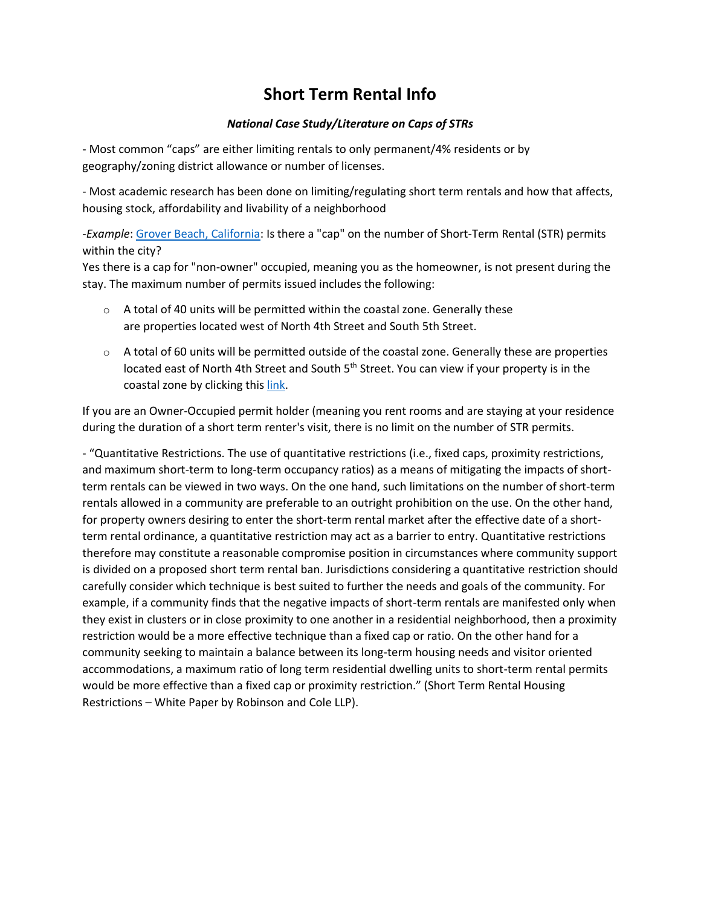# **Short Term Rental Info**

## *National Case Study/Literature on Caps of STRs*

- Most common "caps" are either limiting rentals to only permanent/4% residents or by geography/zoning district allowance or number of licenses.

- Most academic research has been done on limiting/regulating short term rentals and how that affects, housing stock, affordability and livability of a neighborhood

-*Example*[: Grover Beach, California:](https://www.grover.org/346/Frequently-Asked-Questions-for-Short-Ter) Is there a "cap" on the number of Short-Term Rental (STR) permits within the city?

Yes there is a cap for "non-owner" occupied, meaning you as the homeowner, is not present during the stay. The maximum number of permits issued includes the following:

- $\circ$  A total of 40 units will be permitted within the coastal zone. Generally these are properties located west of North 4th Street and South 5th Street.
- $\circ$  A total of 60 units will be permitted outside of the coastal zone. Generally these are properties located east of North 4th Street and South 5<sup>th</sup> Street. You can view if your property is in the coastal zone by clicking this [link.](https://groverbeach.maps.arcgis.com/home/webmap/viewer.html?useExisting=1&layers=b02dc3e783ce49dea5e0fe66a39a0e04e)

If you are an Owner-Occupied permit holder (meaning you rent rooms and are staying at your residence during the duration of a short term renter's visit, there is no limit on the number of STR permits.

- "Quantitative Restrictions. The use of quantitative restrictions (i.e., fixed caps, proximity restrictions, and maximum short-term to long-term occupancy ratios) as a means of mitigating the impacts of shortterm rentals can be viewed in two ways. On the one hand, such limitations on the number of short-term rentals allowed in a community are preferable to an outright prohibition on the use. On the other hand, for property owners desiring to enter the short-term rental market after the effective date of a shortterm rental ordinance, a quantitative restriction may act as a barrier to entry. Quantitative restrictions therefore may constitute a reasonable compromise position in circumstances where community support is divided on a proposed short term rental ban. Jurisdictions considering a quantitative restriction should carefully consider which technique is best suited to further the needs and goals of the community. For example, if a community finds that the negative impacts of short-term rentals are manifested only when they exist in clusters or in close proximity to one another in a residential neighborhood, then a proximity restriction would be a more effective technique than a fixed cap or ratio. On the other hand for a community seeking to maintain a balance between its long-term housing needs and visitor oriented accommodations, a maximum ratio of long term residential dwelling units to short-term rental permits would be more effective than a fixed cap or proximity restriction." (Short Term Rental Housing Restrictions – White Paper by Robinson and Cole LLP).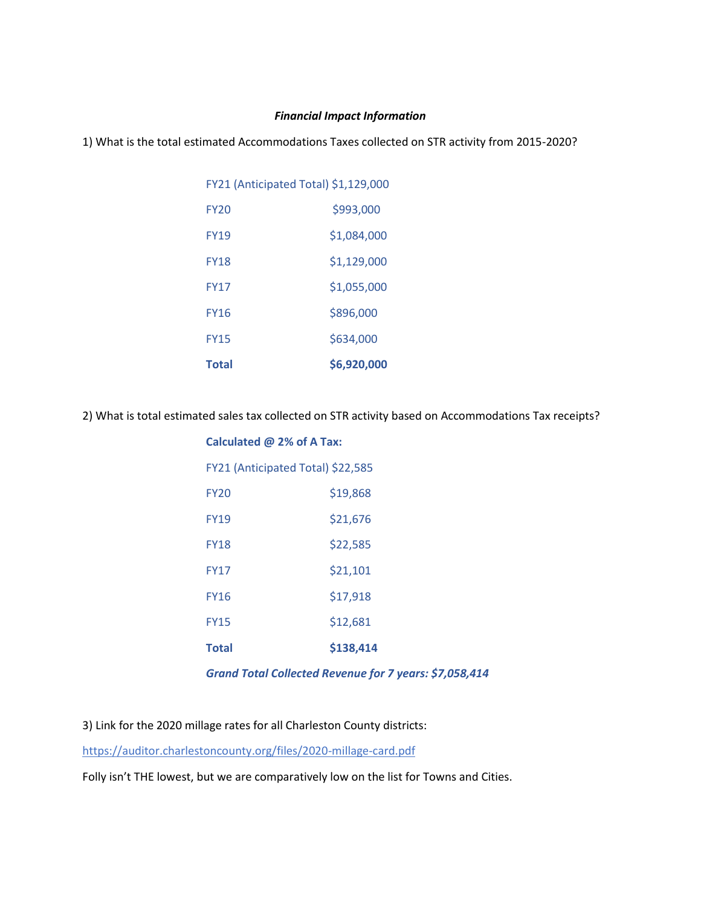#### *Financial Impact Information*

1) What is the total estimated Accommodations Taxes collected on STR activity from 2015-2020?

| <b>Total</b>                         | \$6,920,000 |  |  |  |  |  |
|--------------------------------------|-------------|--|--|--|--|--|
| <b>FY15</b>                          | \$634,000   |  |  |  |  |  |
| <b>FY16</b>                          | \$896,000   |  |  |  |  |  |
| FY17                                 | \$1,055,000 |  |  |  |  |  |
| <b>FY18</b>                          | \$1.129.000 |  |  |  |  |  |
| FY19                                 | \$1.084.000 |  |  |  |  |  |
| <b>FY20</b>                          | \$993,000   |  |  |  |  |  |
| FY21 (Anticipated Total) \$1,129,000 |             |  |  |  |  |  |

2) What is total estimated sales tax collected on STR activity based on Accommodations Tax receipts?

| Calculated @ 2% of A Tax: |                                   |  |  |  |  |  |  |
|---------------------------|-----------------------------------|--|--|--|--|--|--|
|                           | FY21 (Anticipated Total) \$22,585 |  |  |  |  |  |  |
| FY <sub>20</sub>          | \$19,868                          |  |  |  |  |  |  |
| <b>FY19</b>               | \$21,676                          |  |  |  |  |  |  |
| <b>FY18</b>               | \$22,585                          |  |  |  |  |  |  |
| <b>FY17</b>               | \$21,101                          |  |  |  |  |  |  |
| <b>FY16</b>               | \$17,918                          |  |  |  |  |  |  |
| <b>FY15</b>               | \$12,681                          |  |  |  |  |  |  |
| Total                     | \$138,414                         |  |  |  |  |  |  |

*Grand Total Collected Revenue for 7 years: \$7,058,414*

3) Link for the 2020 millage rates for all Charleston County districts:

<https://auditor.charlestoncounty.org/files/2020-millage-card.pdf>

Folly isn't THE lowest, but we are comparatively low on the list for Towns and Cities.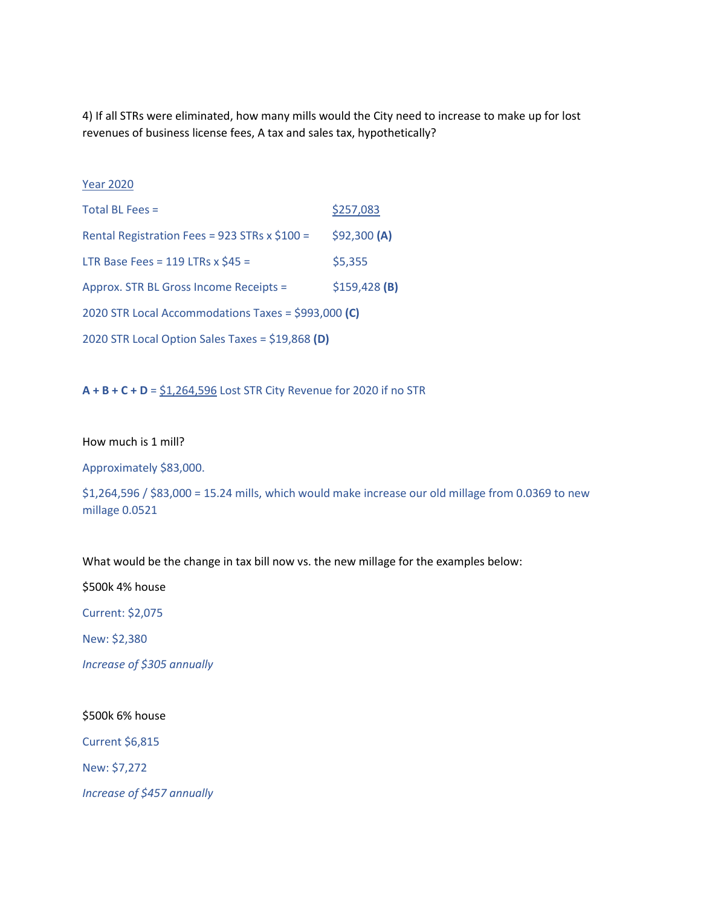4) If all STRs were eliminated, how many mills would the City need to increase to make up for lost revenues of business license fees, A tax and sales tax, hypothetically?

#### Year 2020

| Total BL Fees =                                     | \$257,083      |
|-----------------------------------------------------|----------------|
| Rental Registration Fees = 923 STRs x $$100 =$      | \$92,300 (A)   |
| LTR Base Fees = 119 LTRs x $$45 =$                  | \$5,355        |
| Approx. STR BL Gross Income Receipts =              | $$159,428$ (B) |
| 2020 STR Local Accommodations Taxes = \$993,000 (C) |                |
| 2020 STR Local Option Sales Taxes = \$19,868 (D)    |                |

**A + B + C + D** =  $\frac{51,264,596}{2}$  Lost STR City Revenue for 2020 if no STR

#### How much is 1 mill?

Approximately \$83,000.

\$1,264,596 / \$83,000 = 15.24 mills, which would make increase our old millage from 0.0369 to new millage 0.0521

What would be the change in tax bill now vs. the new millage for the examples below:

\$500k 4% house

Current: \$2,075

New: \$2,380

*Increase of \$305 annually*

#### \$500k 6% house

Current \$6,815

New: \$7,272

*Increase of \$457 annually*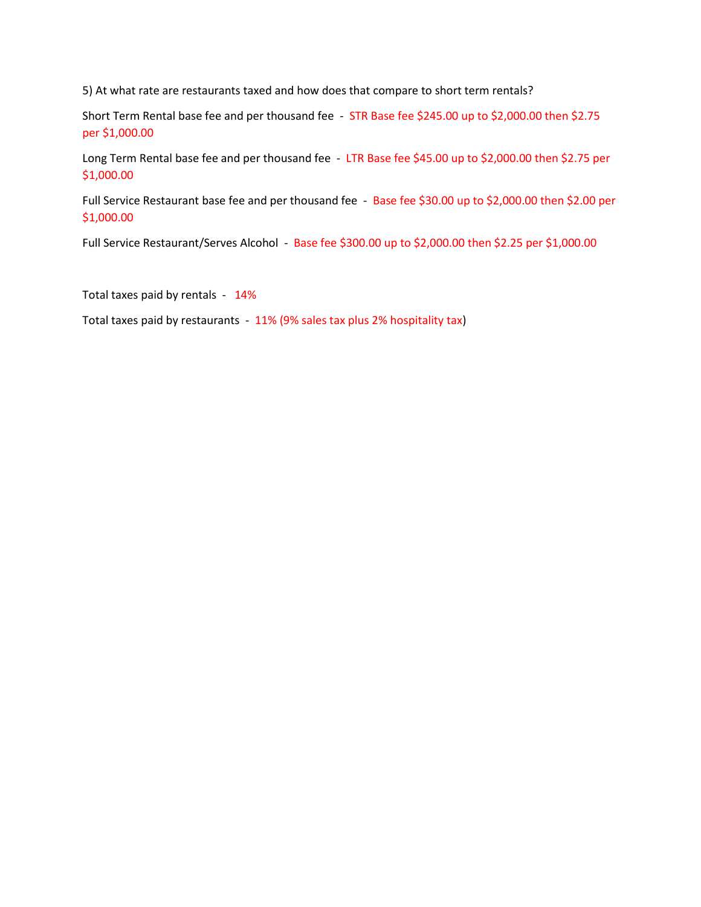5) At what rate are restaurants taxed and how does that compare to short term rentals?

Short Term Rental base fee and per thousand fee - STR Base fee \$245.00 up to \$2,000.00 then \$2.75 per \$1,000.00

Long Term Rental base fee and per thousand fee - LTR Base fee \$45.00 up to \$2,000.00 then \$2.75 per \$1,000.00

Full Service Restaurant base fee and per thousand fee - Base fee \$30.00 up to \$2,000.00 then \$2.00 per \$1,000.00

Full Service Restaurant/Serves Alcohol - Base fee \$300.00 up to \$2,000.00 then \$2.25 per \$1,000.00

Total taxes paid by rentals - 14%

Total taxes paid by restaurants - 11% (9% sales tax plus 2% hospitality tax)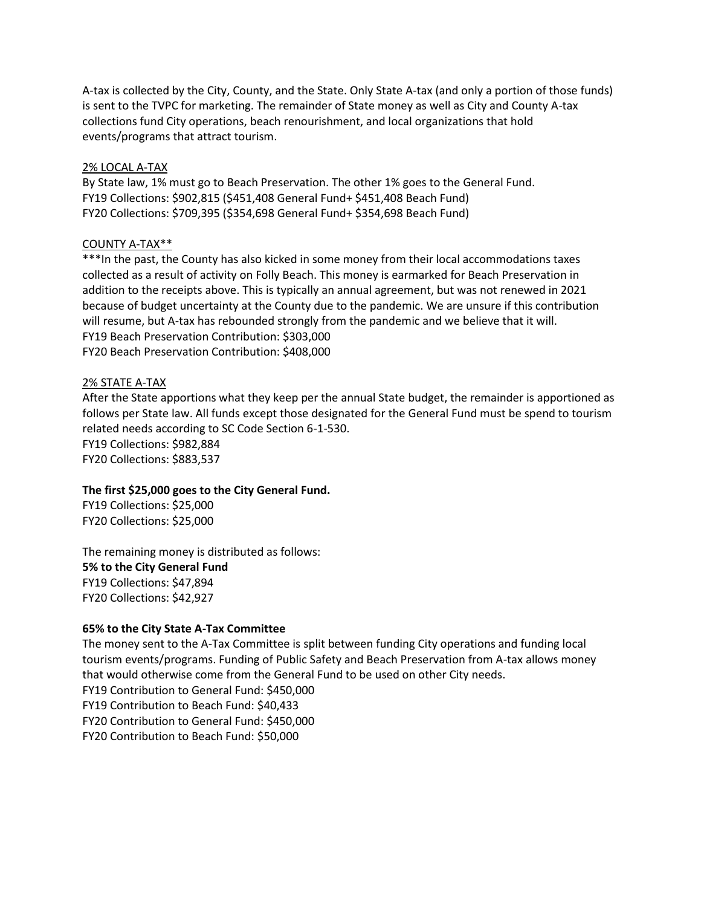A-tax is collected by the City, County, and the State. Only State A-tax (and only a portion of those funds) is sent to the TVPC for marketing. The remainder of State money as well as City and County A-tax collections fund City operations, beach renourishment, and local organizations that hold events/programs that attract tourism.

#### 2% LOCAL A-TAX

By State law, 1% must go to Beach Preservation. The other 1% goes to the General Fund. FY19 Collections: \$902,815 (\$451,408 General Fund+ \$451,408 Beach Fund) FY20 Collections: \$709,395 (\$354,698 General Fund+ \$354,698 Beach Fund)

#### COUNTY A-TAX\*\*

\*\*\*In the past, the County has also kicked in some money from their local accommodations taxes collected as a result of activity on Folly Beach. This money is earmarked for Beach Preservation in addition to the receipts above. This is typically an annual agreement, but was not renewed in 2021 because of budget uncertainty at the County due to the pandemic. We are unsure if this contribution will resume, but A-tax has rebounded strongly from the pandemic and we believe that it will. FY19 Beach Preservation Contribution: \$303,000 FY20 Beach Preservation Contribution: \$408,000

#### 2% STATE A-TAX

After the State apportions what they keep per the annual State budget, the remainder is apportioned as follows per State law. All funds except those designated for the General Fund must be spend to tourism related needs according to SC Code Section 6-1-530. FY19 Collections: \$982,884

FY20 Collections: \$883,537

## **The first \$25,000 goes to the City General Fund.**

FY19 Collections: \$25,000 FY20 Collections: \$25,000

The remaining money is distributed as follows: **5% to the City General Fund** FY19 Collections: \$47,894 FY20 Collections: \$42,927

## **65% to the City State A-Tax Committee**

The money sent to the A-Tax Committee is split between funding City operations and funding local tourism events/programs. Funding of Public Safety and Beach Preservation from A-tax allows money that would otherwise come from the General Fund to be used on other City needs. FY19 Contribution to General Fund: \$450,000 FY19 Contribution to Beach Fund: \$40,433 FY20 Contribution to General Fund: \$450,000 FY20 Contribution to Beach Fund: \$50,000